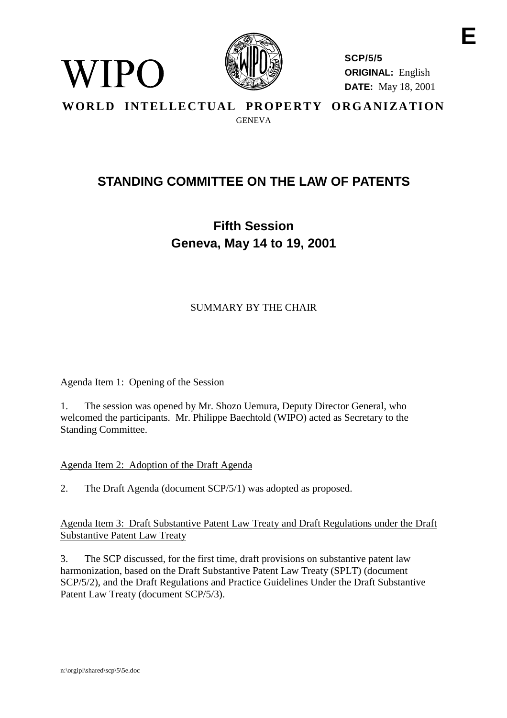

**SCP/5/5 ORIGINAL:** English **DATE:** May 18, 2001 **E**

**WORLD INTELLECTUAL PROPERTY ORGANIZATION** GENEVA

# **STANDING COMMITTEE ON THE LAW OF PATENTS**

**Fifth Session Geneva, May 14 to 19, 2001**

SUMMARY BY THE CHAIR

## Agenda Item 1: Opening of the Session

WIPO

1. The session was opened by Mr. Shozo Uemura, Deputy Director General, who welcomed the participants. Mr. Philippe Baechtold (WIPO) acted as Secretary to the Standing Committee.

## Agenda Item 2: Adoption of the Draft Agenda

2. The Draft Agenda (document SCP/5/1) was adopted as proposed.

Agenda Item 3: Draft Substantive Patent Law Treaty and Draft Regulations under the Draft Substantive Patent Law Treaty

3. The SCP discussed, for the first time, draft provisions on substantive patent law harmonization, based on the Draft Substantive Patent Law Treaty (SPLT) (document SCP/5/2), and the Draft Regulations and Practice Guidelines Under the Draft Substantive Patent Law Treaty (document SCP/5/3).